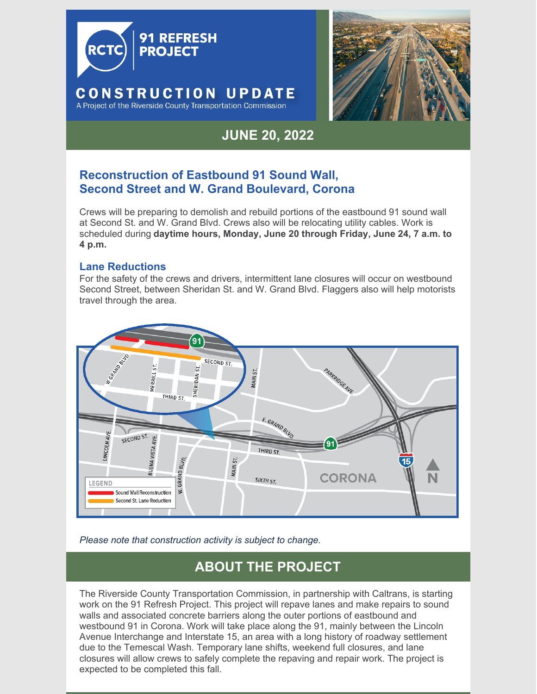



# **JUNE 20, 2022**

### **Reconstruction of Eastbound 91 Sound Wall, Second Street and W. Grand Boulevard, Corona**

Crews will be preparing to demolish and rebuild portions of the eastbound 91 sound wall at Second St. and W. Grand Blvd. Crews also will be relocating utility cables. Work is scheduled during **daytime hours, Monday, June 20 through Friday, June 24, 7 a.m. to 4 p.m.**

#### **Lane Reductions**

For the safety of the crews and drivers, intermittent lane closures will occur on westbound Second Street, between Sheridan St. and W. Grand Blvd. Flaggers also will help motorists travel through the area.



*Please note that construction activity is subject to change.*

## **ABOUT THE PROJECT**

The Riverside County Transportation Commission, in partnership with Caltrans, is starting work on the 91 Refresh Project. This project will repave lanes and make repairs to sound walls and associated concrete barriers along the outer portions of eastbound and westbound 91 in Corona. Work will take place along the 91, mainly between the Lincoln Avenue Interchange and Interstate 15, an area with a long history of roadway settlement due to the Temescal Wash. Temporary lane shifts, weekend full closures, and lane closures will allow crews to safely complete the repaving and repair work. The project is expected to be completed this fall.